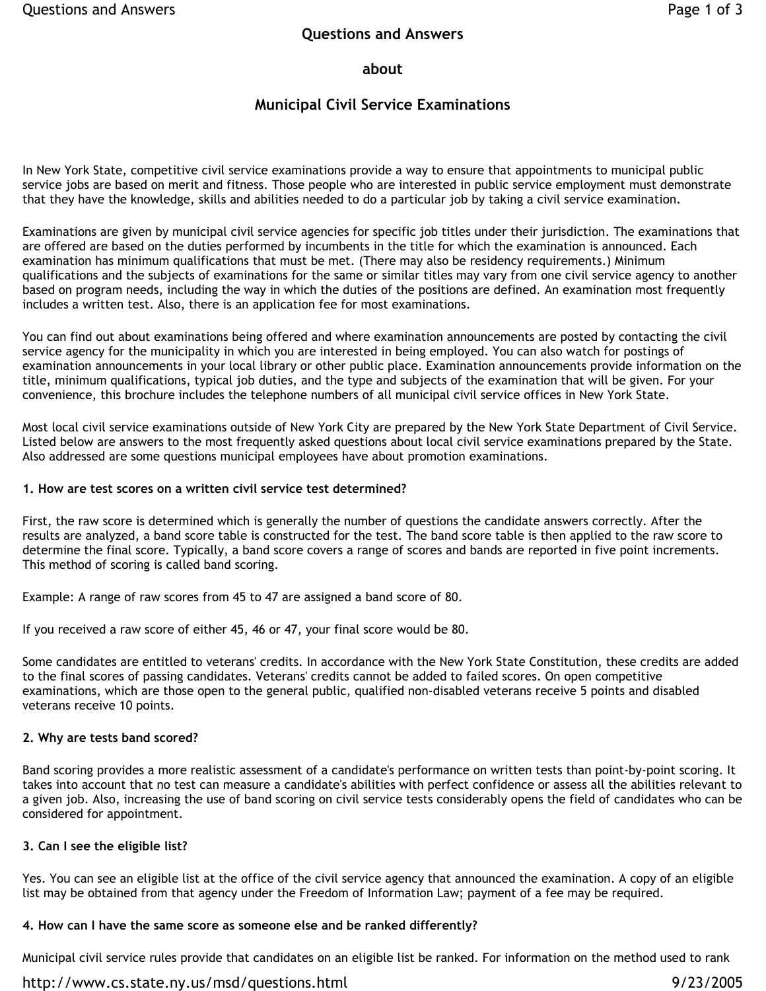### **about**

### **Municipal Civil Service Examinations**

In New York State, competitive civil service examinations provide a way to ensure that appointments to municipal public service jobs are based on merit and fitness. Those people who are interested in public service employment must demonstrate that they have the knowledge, skills and abilities needed to do a particular job by taking a civil service examination.

Examinations are given by municipal civil service agencies for specific job titles under their jurisdiction. The examinations that are offered are based on the duties performed by incumbents in the title for which the examination is announced. Each examination has minimum qualifications that must be met. (There may also be residency requirements.) Minimum qualifications and the subjects of examinations for the same or similar titles may vary from one civil service agency to another based on program needs, including the way in which the duties of the positions are defined. An examination most frequently includes a written test. Also, there is an application fee for most examinations.

You can find out about examinations being offered and where examination announcements are posted by contacting the civil service agency for the municipality in which you are interested in being employed. You can also watch for postings of examination announcements in your local library or other public place. Examination announcements provide information on the title, minimum qualifications, typical job duties, and the type and subjects of the examination that will be given. For your convenience, this brochure includes the telephone numbers of all municipal civil service offices in New York State.

Most local civil service examinations outside of New York City are prepared by the New York State Department of Civil Service. Listed below are answers to the most frequently asked questions about local civil service examinations prepared by the State. Also addressed are some questions municipal employees have about promotion examinations.

#### **1. How are test scores on a written civil service test determined?**

First, the raw score is determined which is generally the number of questions the candidate answers correctly. After the results are analyzed, a band score table is constructed for the test. The band score table is then applied to the raw score to determine the final score. Typically, a band score covers a range of scores and bands are reported in five point increments. This method of scoring is called band scoring.

Example: A range of raw scores from 45 to 47 are assigned a band score of 80.

If you received a raw score of either 45, 46 or 47, your final score would be 80.

Some candidates are entitled to veterans' credits. In accordance with the New York State Constitution, these credits are added to the final scores of passing candidates. Veterans' credits cannot be added to failed scores. On open competitive examinations, which are those open to the general public, qualified non-disabled veterans receive 5 points and disabled veterans receive 10 points.

#### **2. Why are tests band scored?**

Band scoring provides a more realistic assessment of a candidate's performance on written tests than point-by-point scoring. It takes into account that no test can measure a candidate's abilities with perfect confidence or assess all the abilities relevant to a given job. Also, increasing the use of band scoring on civil service tests considerably opens the field of candidates who can be considered for appointment.

#### **3. Can I see the eligible list?**

Yes. You can see an eligible list at the office of the civil service agency that announced the examination. A copy of an eligible list may be obtained from that agency under the Freedom of Information Law; payment of a fee may be required.

#### **4. How can I have the same score as someone else and be ranked differently?**

Municipal civil service rules provide that candidates on an eligible list be ranked. For information on the method used to rank

#### http://www.cs.state.ny.us/msd/questions.html 9/23/2005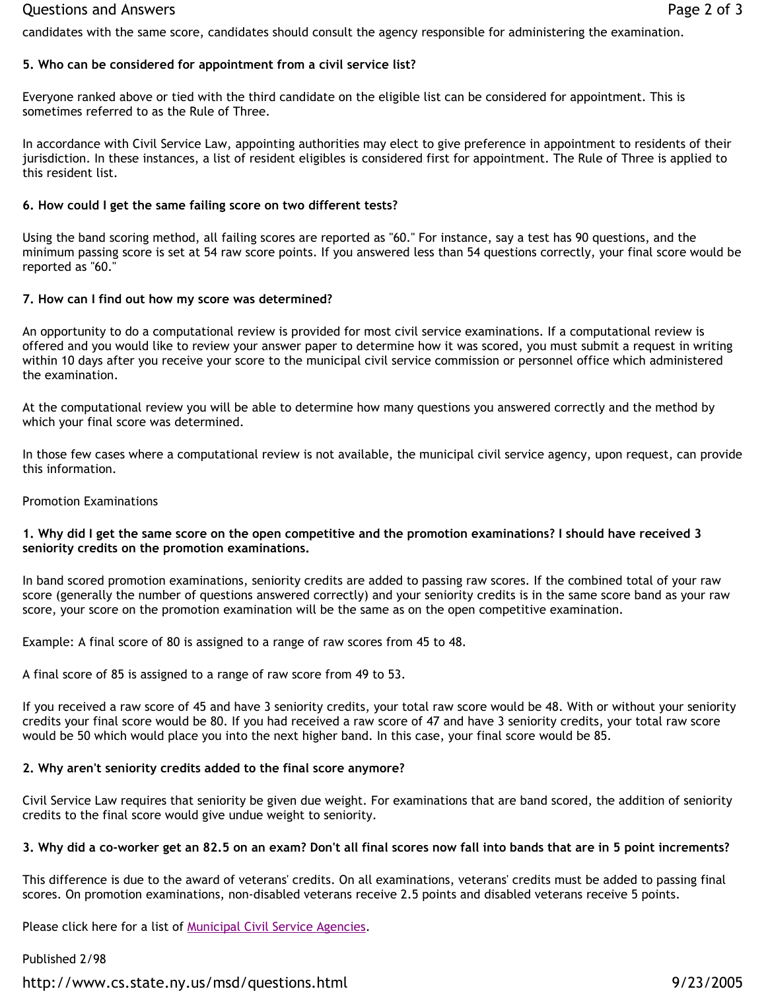#### Questions and Answers **Page 2 of 3**

candidates with the same score, candidates should consult the agency responsible for administering the examination.

### **5. Who can be considered for appointment from a civil service list?**

Everyone ranked above or tied with the third candidate on the eligible list can be considered for appointment. This is sometimes referred to as the Rule of Three.

In accordance with Civil Service Law, appointing authorities may elect to give preference in appointment to residents of their jurisdiction. In these instances, a list of resident eligibles is considered first for appointment. The Rule of Three is applied to this resident list.

### **6. How could I get the same failing score on two different tests?**

Using the band scoring method, all failing scores are reported as "60." For instance, say a test has 90 questions, and the minimum passing score is set at 54 raw score points. If you answered less than 54 questions correctly, your final score would be reported as "60."

### **7. How can I find out how my score was determined?**

An opportunity to do a computational review is provided for most civil service examinations. If a computational review is offered and you would like to review your answer paper to determine how it was scored, you must submit a request in writing within 10 days after you receive your score to the municipal civil service commission or personnel office which administered the examination.

At the computational review you will be able to determine how many questions you answered correctly and the method by which your final score was determined.

In those few cases where a computational review is not available, the municipal civil service agency, upon request, can provide this information.

### Promotion Examinations

#### **1. Why did I get the same score on the open competitive and the promotion examinations? I should have received 3 seniority credits on the promotion examinations.**

In band scored promotion examinations, seniority credits are added to passing raw scores. If the combined total of your raw score (generally the number of questions answered correctly) and your seniority credits is in the same score band as your raw score, your score on the promotion examination will be the same as on the open competitive examination.

Example: A final score of 80 is assigned to a range of raw scores from 45 to 48.

A final score of 85 is assigned to a range of raw score from 49 to 53.

If you received a raw score of 45 and have 3 seniority credits, your total raw score would be 48. With or without your seniority credits your final score would be 80. If you had received a raw score of 47 and have 3 seniority credits, your total raw score would be 50 which would place you into the next higher band. In this case, your final score would be 85.

# **2. Why aren't seniority credits added to the final score anymore?**

Civil Service Law requires that seniority be given due weight. For examinations that are band scored, the addition of seniority credits to the final score would give undue weight to seniority.

# **3. Why did a co-worker get an 82.5 on an exam? Don't all final scores now fall into bands that are in 5 point increments?**

This difference is due to the award of veterans' credits. On all examinations, veterans' credits must be added to passing final scores. On promotion examinations, non-disabled veterans receive 2.5 points and disabled veterans receive 5 points.

Please click here for a list of Municipal Civil Service Agencies.

Published 2/98

http://www.cs.state.ny.us/msd/questions.html 9/23/2005